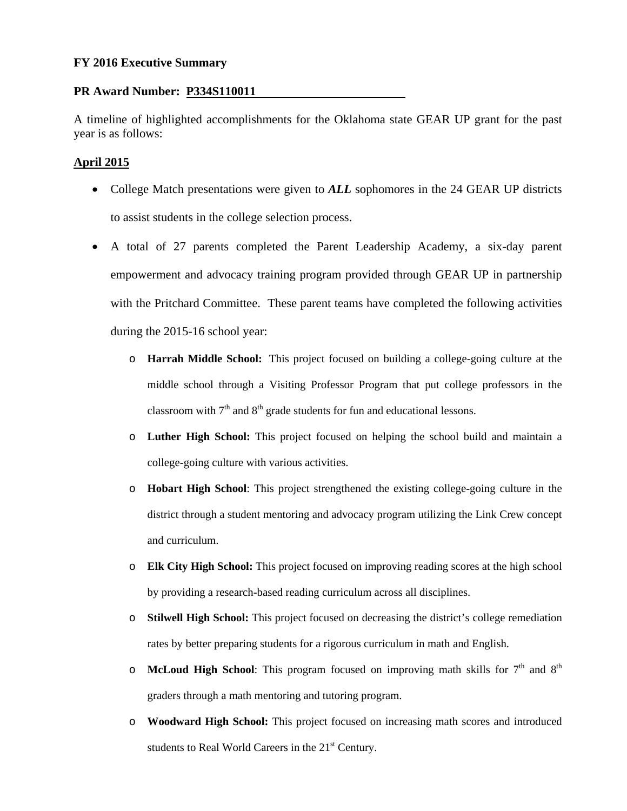#### **FY 2016 Executive Summary**

#### **PR Award Number: P334S110011**

A timeline of highlighted accomplishments for the Oklahoma state GEAR UP grant for the past year is as follows:

# **April 2015**

- College Match presentations were given to **ALL** sophomores in the 24 GEAR UP districts to assist students in the college selection process.
- A total of 27 parents completed the Parent Leadership Academy, a six-day parent empowerment and advocacy training program provided through GEAR UP in partnership with the Pritchard Committee. These parent teams have completed the following activities during the 2015-16 school year:
	- o **Harrah Middle School:** This project focused on building a college-going culture at the middle school through a Visiting Professor Program that put college professors in the classroom with  $7<sup>th</sup>$  and  $8<sup>th</sup>$  grade students for fun and educational lessons.
	- o **Luther High School:** This project focused on helping the school build and maintain a college-going culture with various activities.
	- o **Hobart High School**: This project strengthened the existing college-going culture in the district through a student mentoring and advocacy program utilizing the Link Crew concept and curriculum.
	- o **Elk City High School:** This project focused on improving reading scores at the high school by providing a research-based reading curriculum across all disciplines.
	- o **Stilwell High School:** This project focused on decreasing the district's college remediation rates by better preparing students for a rigorous curriculum in math and English.
	- $\circ$  **McLoud High School**: This program focused on improving math skills for  $7<sup>th</sup>$  and  $8<sup>th</sup>$ graders through a math mentoring and tutoring program.
	- o **Woodward High School:** This project focused on increasing math scores and introduced students to Real World Careers in the 21<sup>st</sup> Century.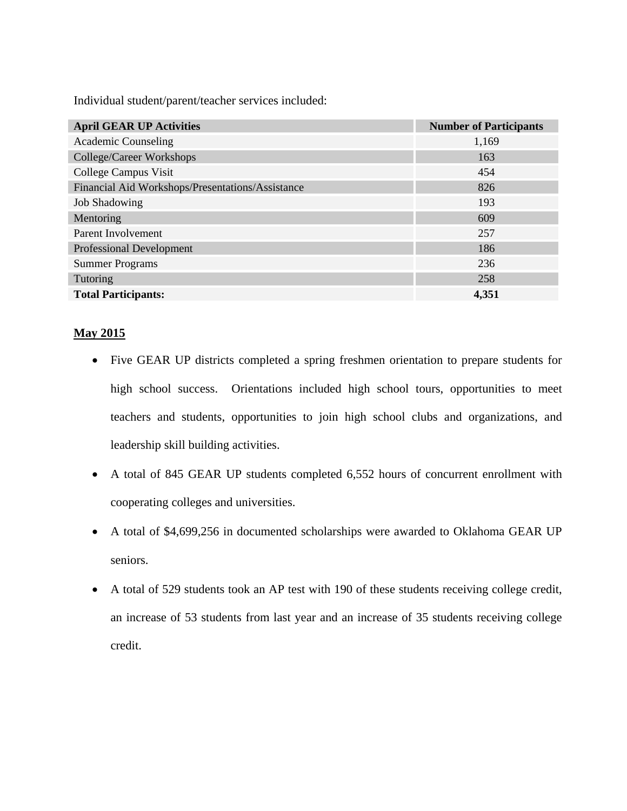Individual student/parent/teacher services included:

| <b>April GEAR UP Activities</b>                  | <b>Number of Participants</b> |
|--------------------------------------------------|-------------------------------|
| <b>Academic Counseling</b>                       | 1,169                         |
| College/Career Workshops                         | 163                           |
| College Campus Visit                             | 454                           |
| Financial Aid Workshops/Presentations/Assistance | 826                           |
| <b>Job Shadowing</b>                             | 193                           |
| Mentoring                                        | 609                           |
| Parent Involvement                               | 257                           |
| <b>Professional Development</b>                  | 186                           |
| <b>Summer Programs</b>                           | 236                           |
| Tutoring                                         | 258                           |
| <b>Total Participants:</b>                       | 4,351                         |

# **May 2015**

- Five GEAR UP districts completed a spring freshmen orientation to prepare students for high school success. Orientations included high school tours, opportunities to meet teachers and students, opportunities to join high school clubs and organizations, and leadership skill building activities.
- A total of 845 GEAR UP students completed 6,552 hours of concurrent enrollment with cooperating colleges and universities.
- A total of \$4,699,256 in documented scholarships were awarded to Oklahoma GEAR UP seniors.
- A total of 529 students took an AP test with 190 of these students receiving college credit, an increase of 53 students from last year and an increase of 35 students receiving college credit.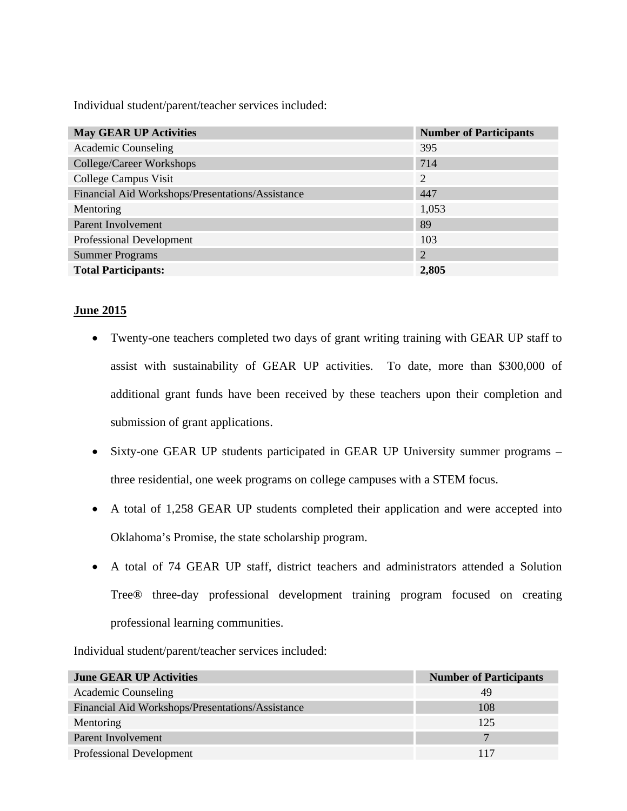Individual student/parent/teacher services included:

| <b>May GEAR UP Activities</b>                    | <b>Number of Participants</b> |
|--------------------------------------------------|-------------------------------|
| <b>Academic Counseling</b>                       | 395                           |
| College/Career Workshops                         | 714                           |
| College Campus Visit                             | 2                             |
| Financial Aid Workshops/Presentations/Assistance | 447                           |
| Mentoring                                        | 1,053                         |
| Parent Involvement                               | 89                            |
| <b>Professional Development</b>                  | 103                           |
| <b>Summer Programs</b>                           | 2                             |
| <b>Total Participants:</b>                       | 2,805                         |

# **June 2015**

- Twenty-one teachers completed two days of grant writing training with GEAR UP staff to assist with sustainability of GEAR UP activities. To date, more than \$300,000 of additional grant funds have been received by these teachers upon their completion and submission of grant applications.
- Sixty-one GEAR UP students participated in GEAR UP University summer programs three residential, one week programs on college campuses with a STEM focus.
- A total of 1,258 GEAR UP students completed their application and were accepted into Oklahoma's Promise, the state scholarship program.
- A total of 74 GEAR UP staff, district teachers and administrators attended a Solution Tree® three-day professional development training program focused on creating professional learning communities.

| <b>June GEAR UP Activities</b>                   | <b>Number of Participants</b> |
|--------------------------------------------------|-------------------------------|
| Academic Counseling                              | 49                            |
| Financial Aid Workshops/Presentations/Assistance | 108                           |
| Mentoring                                        | 125                           |
| Parent Involvement                               |                               |
| Professional Development                         | 117                           |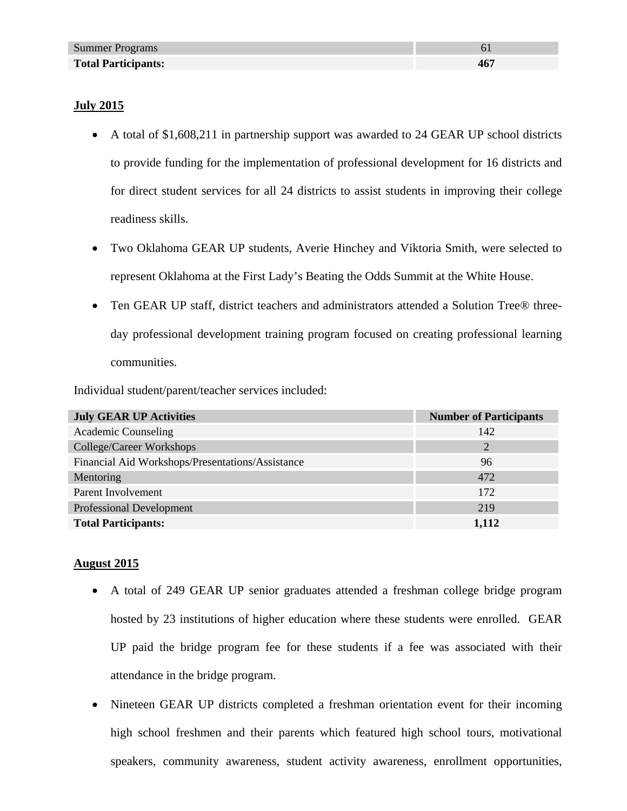### **July 2015**

- A total of \$1,608,211 in partnership support was awarded to 24 GEAR UP school districts to provide funding for the implementation of professional development for 16 districts and for direct student services for all 24 districts to assist students in improving their college readiness skills.
- Two Oklahoma GEAR UP students, Averie Hinchey and Viktoria Smith, were selected to represent Oklahoma at the First Lady's Beating the Odds Summit at the White House.
- Ten GEAR UP staff, district teachers and administrators attended a Solution Tree® threeday professional development training program focused on creating professional learning communities.

Individual student/parent/teacher services included:

| <b>July GEAR UP Activities</b>                   | <b>Number of Participants</b> |
|--------------------------------------------------|-------------------------------|
| <b>Academic Counseling</b>                       | 142                           |
| College/Career Workshops                         | C                             |
| Financial Aid Workshops/Presentations/Assistance | 96                            |
| Mentoring                                        | 472                           |
| Parent Involvement                               | 172                           |
| <b>Professional Development</b>                  | 219                           |
| <b>Total Participants:</b>                       | 1,112                         |

### **August 2015**

- A total of 249 GEAR UP senior graduates attended a freshman college bridge program hosted by 23 institutions of higher education where these students were enrolled. GEAR UP paid the bridge program fee for these students if a fee was associated with their attendance in the bridge program.
- Nineteen GEAR UP districts completed a freshman orientation event for their incoming high school freshmen and their parents which featured high school tours, motivational speakers, community awareness, student activity awareness, enrollment opportunities,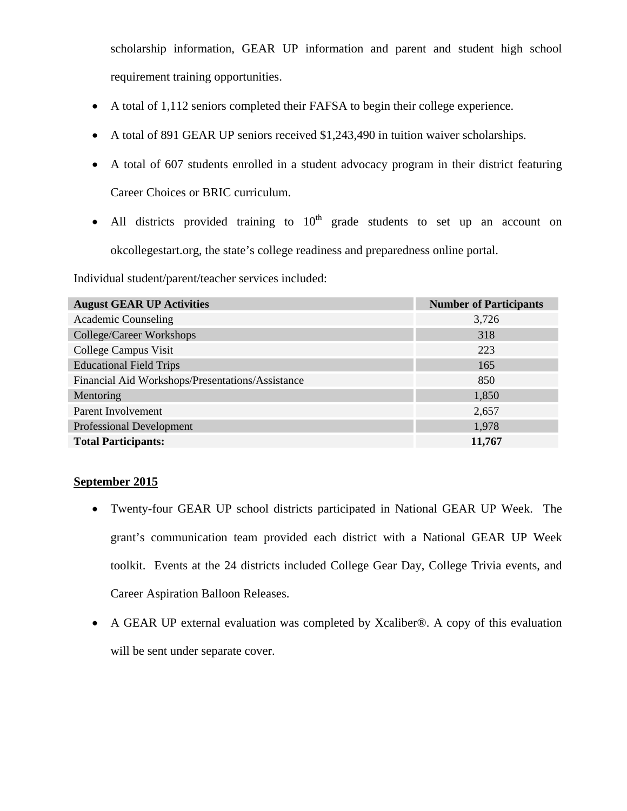scholarship information, GEAR UP information and parent and student high school requirement training opportunities.

- A total of 1,112 seniors completed their FAFSA to begin their college experience.
- A total of 891 GEAR UP seniors received \$1,243,490 in tuition waiver scholarships.
- A total of 607 students enrolled in a student advocacy program in their district featuring Career Choices or BRIC curriculum.
- All districts provided training to  $10<sup>th</sup>$  grade students to set up an account on okcollegestart.org, the state's college readiness and preparedness online portal.

Individual student/parent/teacher services included:

| <b>August GEAR UP Activities</b>                 | <b>Number of Participants</b> |
|--------------------------------------------------|-------------------------------|
| <b>Academic Counseling</b>                       | 3,726                         |
| College/Career Workshops                         | 318                           |
| College Campus Visit                             | 223                           |
| <b>Educational Field Trips</b>                   | 165                           |
| Financial Aid Workshops/Presentations/Assistance | 850                           |
| Mentoring                                        | 1,850                         |
| Parent Involvement                               | 2,657                         |
| <b>Professional Development</b>                  | 1,978                         |
| <b>Total Participants:</b>                       | 11,767                        |

### **September 2015**

- Twenty-four GEAR UP school districts participated in National GEAR UP Week. The grant's communication team provided each district with a National GEAR UP Week toolkit. Events at the 24 districts included College Gear Day, College Trivia events, and Career Aspiration Balloon Releases.
- A GEAR UP external evaluation was completed by Xcaliber®. A copy of this evaluation will be sent under separate cover.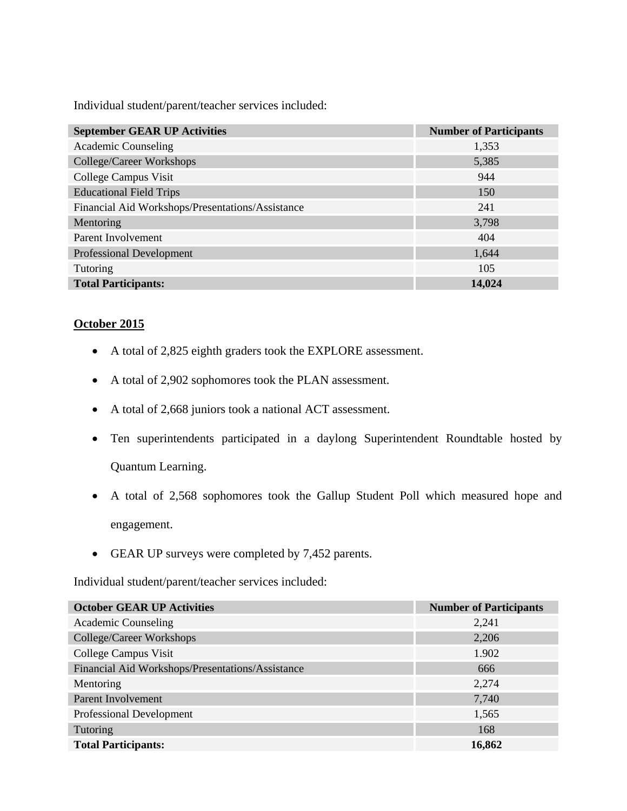Individual student/parent/teacher services included:

| <b>September GEAR UP Activities</b>              | <b>Number of Participants</b> |
|--------------------------------------------------|-------------------------------|
| <b>Academic Counseling</b>                       | 1,353                         |
| College/Career Workshops                         | 5,385                         |
| College Campus Visit                             | 944                           |
| <b>Educational Field Trips</b>                   | 150                           |
| Financial Aid Workshops/Presentations/Assistance | 241                           |
| Mentoring                                        | 3,798                         |
| Parent Involvement                               | 404                           |
| <b>Professional Development</b>                  | 1,644                         |
| Tutoring                                         | 105                           |
| <b>Total Participants:</b>                       | 14,024                        |

# **October 2015**

- A total of 2,825 eighth graders took the EXPLORE assessment.
- A total of 2,902 sophomores took the PLAN assessment.
- A total of 2,668 juniors took a national ACT assessment.
- Ten superintendents participated in a daylong Superintendent Roundtable hosted by Quantum Learning.
- A total of 2,568 sophomores took the Gallup Student Poll which measured hope and engagement.
- GEAR UP surveys were completed by 7,452 parents.

| <b>October GEAR UP Activities</b>                | <b>Number of Participants</b> |
|--------------------------------------------------|-------------------------------|
| <b>Academic Counseling</b>                       | 2,241                         |
| College/Career Workshops                         | 2,206                         |
| College Campus Visit                             | 1.902                         |
| Financial Aid Workshops/Presentations/Assistance | 666                           |
| Mentoring                                        | 2,274                         |
| Parent Involvement                               | 7,740                         |
| Professional Development                         | 1,565                         |
| Tutoring                                         | 168                           |
| <b>Total Participants:</b>                       | 16,862                        |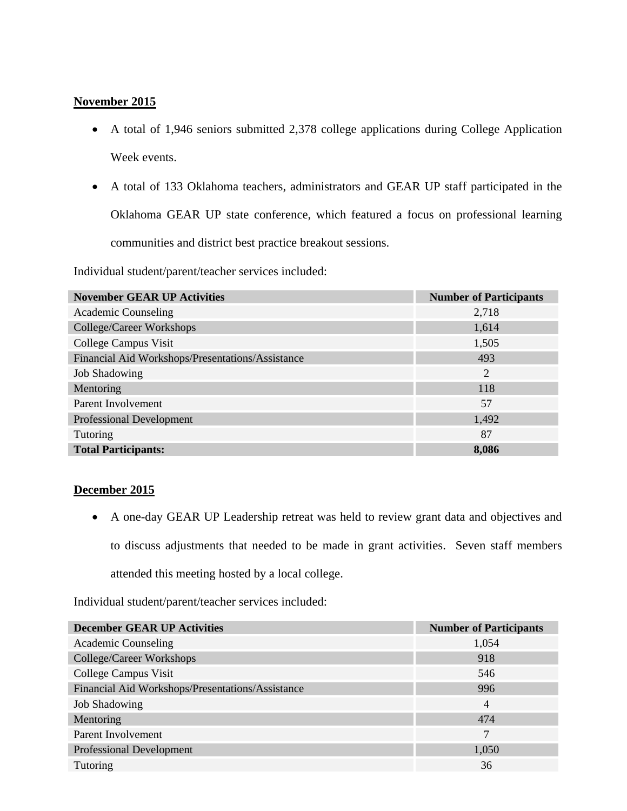### **November 2015**

- A total of 1,946 seniors submitted 2,378 college applications during College Application Week events.
- A total of 133 Oklahoma teachers, administrators and GEAR UP staff participated in the Oklahoma GEAR UP state conference, which featured a focus on professional learning communities and district best practice breakout sessions.

Individual student/parent/teacher services included:

| <b>November GEAR UP Activities</b>               | <b>Number of Participants</b> |
|--------------------------------------------------|-------------------------------|
| Academic Counseling                              | 2,718                         |
| College/Career Workshops                         | 1,614                         |
| College Campus Visit                             | 1,505                         |
| Financial Aid Workshops/Presentations/Assistance | 493                           |
| <b>Job Shadowing</b>                             | 2                             |
| Mentoring                                        | 118                           |
| Parent Involvement                               | 57                            |
| <b>Professional Development</b>                  | 1,492                         |
| Tutoring                                         | 87                            |
| <b>Total Participants:</b>                       | 8,086                         |

### **December 2015**

 A one-day GEAR UP Leadership retreat was held to review grant data and objectives and to discuss adjustments that needed to be made in grant activities. Seven staff members attended this meeting hosted by a local college.

| <b>December GEAR UP Activities</b>               | <b>Number of Participants</b> |
|--------------------------------------------------|-------------------------------|
| Academic Counseling                              | 1,054                         |
| College/Career Workshops                         | 918                           |
| College Campus Visit                             | 546                           |
| Financial Aid Workshops/Presentations/Assistance | 996                           |
| <b>Job Shadowing</b>                             | 4                             |
| Mentoring                                        | 474                           |
| Parent Involvement                               | 7                             |
| <b>Professional Development</b>                  | 1,050                         |
| Tutoring                                         | 36                            |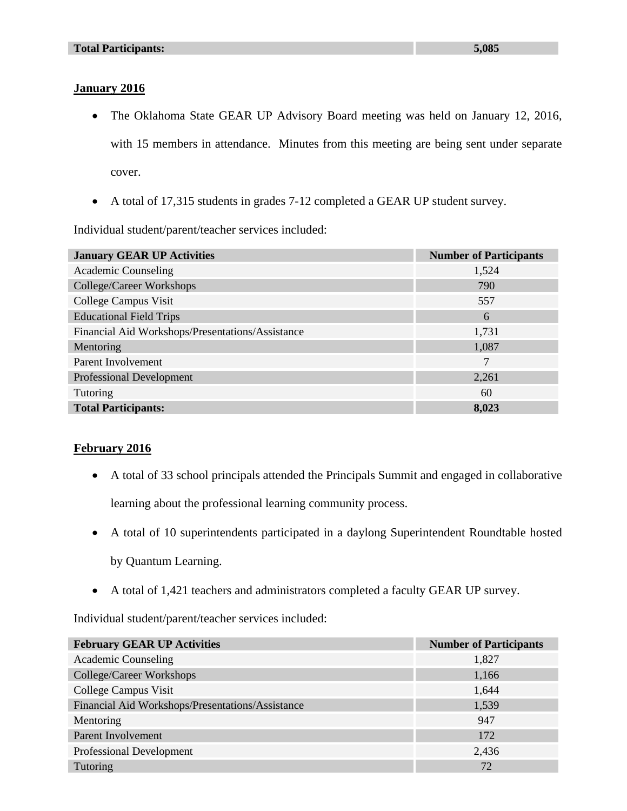# **January 2016**

- The Oklahoma State GEAR UP Advisory Board meeting was held on January 12, 2016, with 15 members in attendance. Minutes from this meeting are being sent under separate cover.
- A total of 17,315 students in grades 7-12 completed a GEAR UP student survey.

Individual student/parent/teacher services included:

| <b>January GEAR UP Activities</b>                | <b>Number of Participants</b> |
|--------------------------------------------------|-------------------------------|
| <b>Academic Counseling</b>                       | 1,524                         |
| College/Career Workshops                         | 790                           |
| College Campus Visit                             | 557                           |
| <b>Educational Field Trips</b>                   | 6                             |
| Financial Aid Workshops/Presentations/Assistance | 1,731                         |
| Mentoring                                        | 1,087                         |
| Parent Involvement                               |                               |
| <b>Professional Development</b>                  | 2,261                         |
| Tutoring                                         | 60                            |
| <b>Total Participants:</b>                       | 8,023                         |

# **February 2016**

 A total of 33 school principals attended the Principals Summit and engaged in collaborative learning about the professional learning community process.

A total of 10 superintendents participated in a daylong Superintendent Roundtable hosted

by Quantum Learning.

A total of 1,421 teachers and administrators completed a faculty GEAR UP survey.

| <b>February GEAR UP Activities</b>               | <b>Number of Participants</b> |
|--------------------------------------------------|-------------------------------|
| <b>Academic Counseling</b>                       | 1,827                         |
| College/Career Workshops                         | 1,166                         |
| College Campus Visit                             | 1,644                         |
| Financial Aid Workshops/Presentations/Assistance | 1,539                         |
| Mentoring                                        | 947                           |
| Parent Involvement                               | 172                           |
| Professional Development                         | 2,436                         |
| Tutoring                                         | 72                            |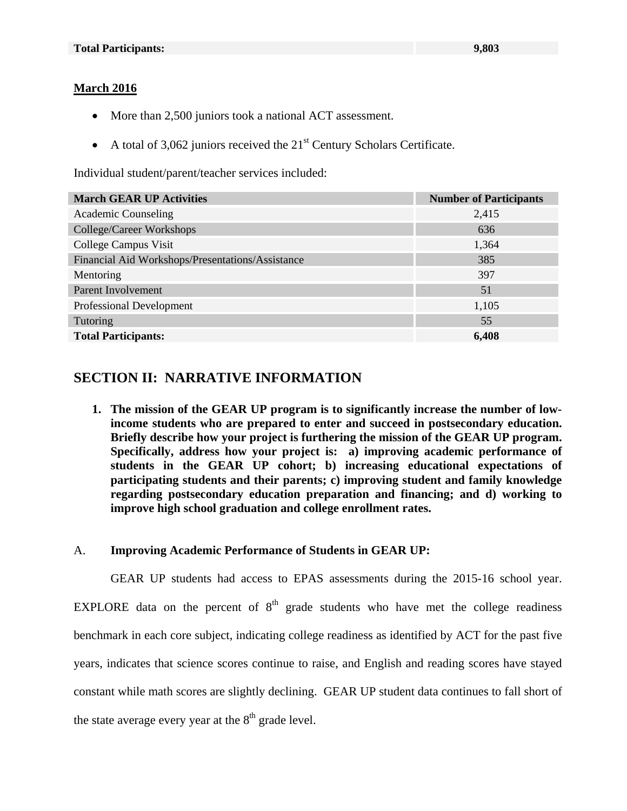### **March 2016**

- More than 2,500 juniors took a national ACT assessment.
- A total of  $3,062$  juniors received the  $21<sup>st</sup>$  Century Scholars Certificate.

Individual student/parent/teacher services included:

| <b>March GEAR UP Activities</b>                  | <b>Number of Participants</b> |
|--------------------------------------------------|-------------------------------|
| Academic Counseling                              | 2,415                         |
| College/Career Workshops                         | 636                           |
| College Campus Visit                             | 1,364                         |
| Financial Aid Workshops/Presentations/Assistance | 385                           |
| Mentoring                                        | 397                           |
| Parent Involvement                               | 51                            |
| Professional Development                         | 1,105                         |
| <b>Tutoring</b>                                  | 55                            |
| <b>Total Participants:</b>                       | 6,408                         |

# **SECTION II: NARRATIVE INFORMATION**

**1. The mission of the GEAR UP program is to significantly increase the number of lowincome students who are prepared to enter and succeed in postsecondary education. Briefly describe how your project is furthering the mission of the GEAR UP program. Specifically, address how your project is: a) improving academic performance of students in the GEAR UP cohort; b) increasing educational expectations of participating students and their parents; c) improving student and family knowledge regarding postsecondary education preparation and financing; and d) working to improve high school graduation and college enrollment rates.** 

### A. **Improving Academic Performance of Students in GEAR UP:**

GEAR UP students had access to EPAS assessments during the 2015-16 school year. EXPLORE data on the percent of  $8<sup>th</sup>$  grade students who have met the college readiness benchmark in each core subject, indicating college readiness as identified by ACT for the past five years, indicates that science scores continue to raise, and English and reading scores have stayed constant while math scores are slightly declining. GEAR UP student data continues to fall short of the state average every year at the  $8<sup>th</sup>$  grade level.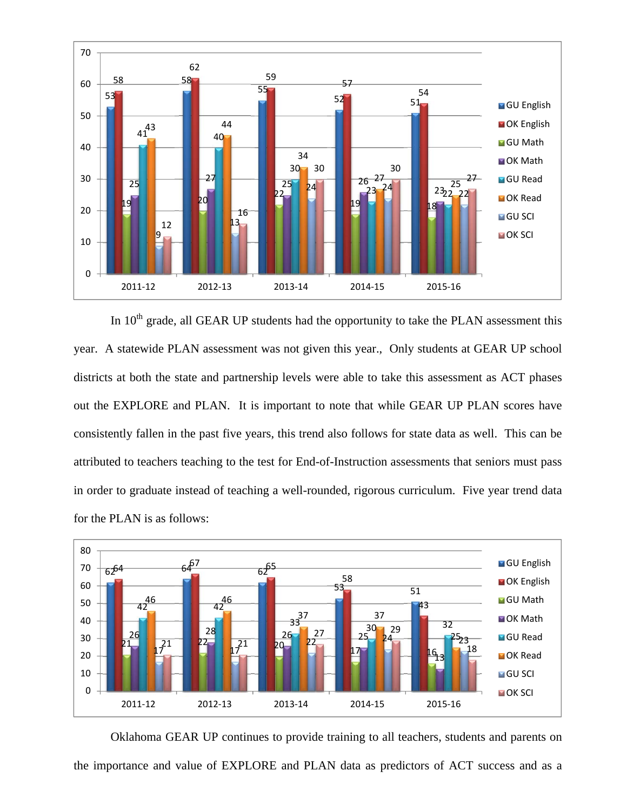

In  $10<sup>th</sup>$  grade, all GEAR UP students had the opportunity to take the PLAN assessment this year. A statewide PLAN assessment was not given this year., Only students at GEAR UP school districts at both the state and partnership levels were able to take this assessment as ACT phases out the EXPLORE and PLAN. It is important to note that while GEAR UP PLAN scores have consistently fallen in the past five years, this trend also follows for state data as well. This can be attributed to teachers teaching to the test for End-of-Instruction assessments that seniors must pass in order to graduate instead of teaching a well-rounded, rigorous curriculum. Five year trend data for the PLAN is as follows:



Oklahoma GEAR UP continues to provide training to all teachers, students and parents on the importance and value of EXPLORE and PLAN data as predictors of ACT success and as a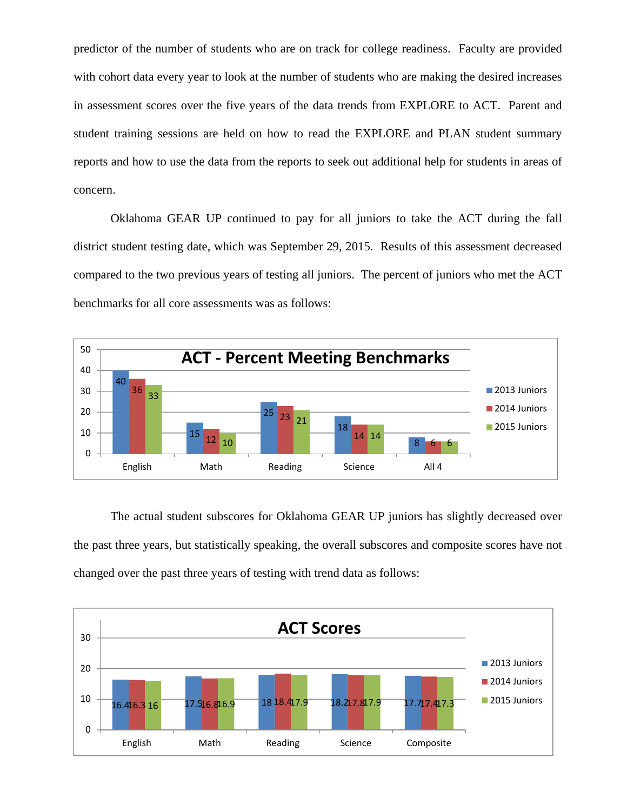predictor of the number of students who are on track for college readiness. Faculty are provided with cohort data every year to look at the number of students who are making the desired increases in assessment scores over the five years of the data trends from EXPLORE to ACT. Parent and student training sessions are held on how to read the EXPLORE and PLAN student summary reports and how to use the data from the reports to seek out additional help for students in areas of concern.

Oklahoma GEAR UP continued to pay for all juniors to take the ACT during the fall district student testing date, which was September 29, 2015. Results of this assessment decreased compared to the two previous years of testing all juniors. The percent of juniors who met the ACT benchmarks for all core assessments was as follows:



The actual student subscores for Oklahoma GEAR UP juniors has slightly decreased over the past three years, but statistically speaking, the overall subscores and composite scores have not changed over the past three years of testing with trend data as follows:

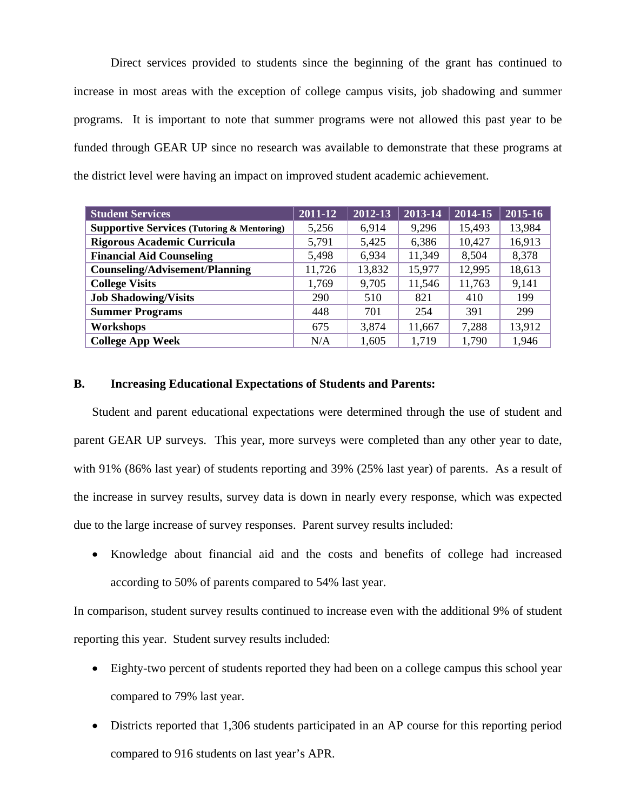Direct services provided to students since the beginning of the grant has continued to increase in most areas with the exception of college campus visits, job shadowing and summer programs. It is important to note that summer programs were not allowed this past year to be funded through GEAR UP since no research was available to demonstrate that these programs at the district level were having an impact on improved student academic achievement.

| <b>Student Services</b>                               | 2011-12 | 2012-13 | 2013-14 | 2014-15 | 2015-16 |
|-------------------------------------------------------|---------|---------|---------|---------|---------|
| <b>Supportive Services (Tutoring &amp; Mentoring)</b> | 5,256   | 6,914   | 9,296   | 15,493  | 13,984  |
| Rigorous Academic Curricula                           | 5,791   | 5,425   | 6,386   | 10,427  | 16,913  |
| <b>Financial Aid Counseling</b>                       | 5,498   | 6,934   | 11,349  | 8,504   | 8,378   |
| <b>Counseling/Advisement/Planning</b>                 | 11,726  | 13,832  | 15,977  | 12,995  | 18,613  |
| <b>College Visits</b>                                 | 1,769   | 9,705   | 11,546  | 11,763  | 9,141   |
| <b>Job Shadowing/Visits</b>                           | 290     | 510     | 821     | 410     | 199     |
| <b>Summer Programs</b>                                | 448     | 701     | 254     | 391     | 299     |
| Workshops                                             | 675     | 3,874   | 11,667  | 7,288   | 13,912  |
| <b>College App Week</b>                               | N/A     | 1,605   | 1,719   | 1,790   | 1,946   |

#### **B. Increasing Educational Expectations of Students and Parents:**

Student and parent educational expectations were determined through the use of student and parent GEAR UP surveys. This year, more surveys were completed than any other year to date, with 91% (86% last year) of students reporting and 39% (25% last year) of parents. As a result of the increase in survey results, survey data is down in nearly every response, which was expected due to the large increase of survey responses. Parent survey results included:

 Knowledge about financial aid and the costs and benefits of college had increased according to 50% of parents compared to 54% last year.

In comparison, student survey results continued to increase even with the additional 9% of student reporting this year. Student survey results included:

- Eighty-two percent of students reported they had been on a college campus this school year compared to 79% last year.
- Districts reported that 1,306 students participated in an AP course for this reporting period compared to 916 students on last year's APR.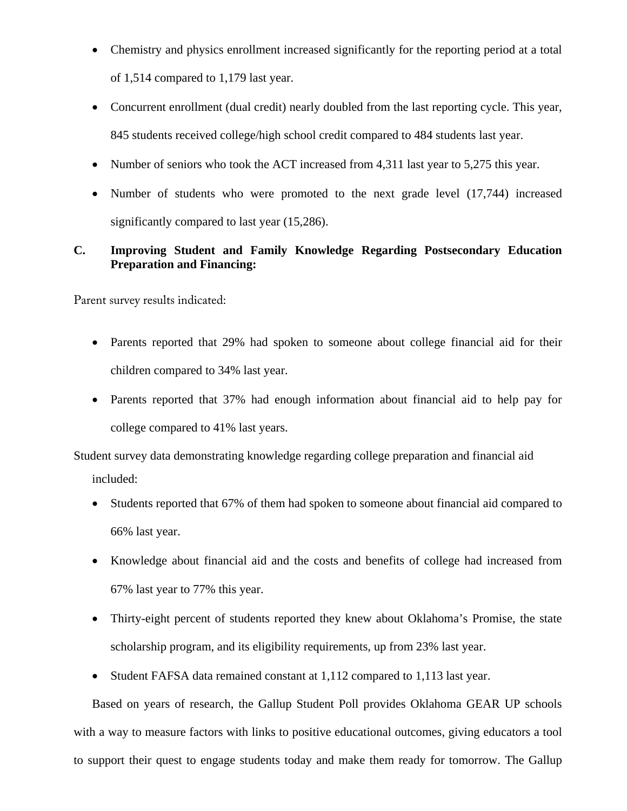- Chemistry and physics enrollment increased significantly for the reporting period at a total of 1,514 compared to 1,179 last year.
- Concurrent enrollment (dual credit) nearly doubled from the last reporting cycle. This year, 845 students received college/high school credit compared to 484 students last year.
- Number of seniors who took the ACT increased from 4,311 last year to 5,275 this year.
- Number of students who were promoted to the next grade level (17,744) increased significantly compared to last year (15,286).

# **C. Improving Student and Family Knowledge Regarding Postsecondary Education Preparation and Financing:**

Parent survey results indicated:

- Parents reported that 29% had spoken to someone about college financial aid for their children compared to 34% last year.
- Parents reported that 37% had enough information about financial aid to help pay for college compared to 41% last years.

Student survey data demonstrating knowledge regarding college preparation and financial aid included:

- Students reported that 67% of them had spoken to someone about financial aid compared to 66% last year.
- Knowledge about financial aid and the costs and benefits of college had increased from 67% last year to 77% this year.
- Thirty-eight percent of students reported they knew about Oklahoma's Promise, the state scholarship program, and its eligibility requirements, up from 23% last year.
- Student FAFSA data remained constant at 1,112 compared to 1,113 last year.

Based on years of research, the Gallup Student Poll provides Oklahoma GEAR UP schools with a way to measure factors with links to positive educational outcomes, giving educators a tool to support their quest to engage students today and make them ready for tomorrow. The Gallup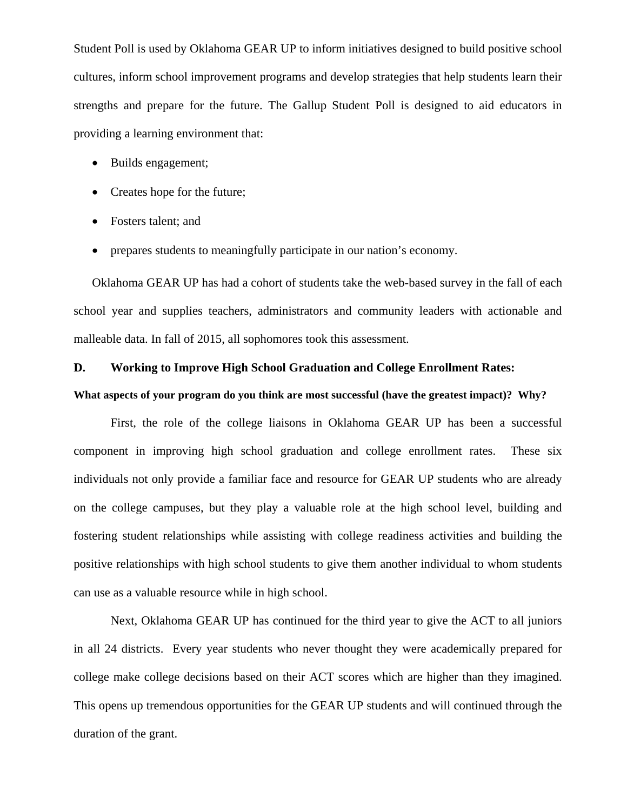Student Poll is used by Oklahoma GEAR UP to inform initiatives designed to build positive school cultures, inform school improvement programs and develop strategies that help students learn their strengths and prepare for the future. The Gallup Student Poll is designed to aid educators in providing a learning environment that:

- Builds engagement;
- Creates hope for the future;
- Fosters talent: and
- prepares students to meaningfully participate in our nation's economy.

Oklahoma GEAR UP has had a cohort of students take the web-based survey in the fall of each school year and supplies teachers, administrators and community leaders with actionable and malleable data. In fall of 2015, all sophomores took this assessment.

#### **D. Working to Improve High School Graduation and College Enrollment Rates:**

#### **What aspects of your program do you think are most successful (have the greatest impact)? Why?**

First, the role of the college liaisons in Oklahoma GEAR UP has been a successful component in improving high school graduation and college enrollment rates. These six individuals not only provide a familiar face and resource for GEAR UP students who are already on the college campuses, but they play a valuable role at the high school level, building and fostering student relationships while assisting with college readiness activities and building the positive relationships with high school students to give them another individual to whom students can use as a valuable resource while in high school.

Next, Oklahoma GEAR UP has continued for the third year to give the ACT to all juniors in all 24 districts. Every year students who never thought they were academically prepared for college make college decisions based on their ACT scores which are higher than they imagined. This opens up tremendous opportunities for the GEAR UP students and will continued through the duration of the grant.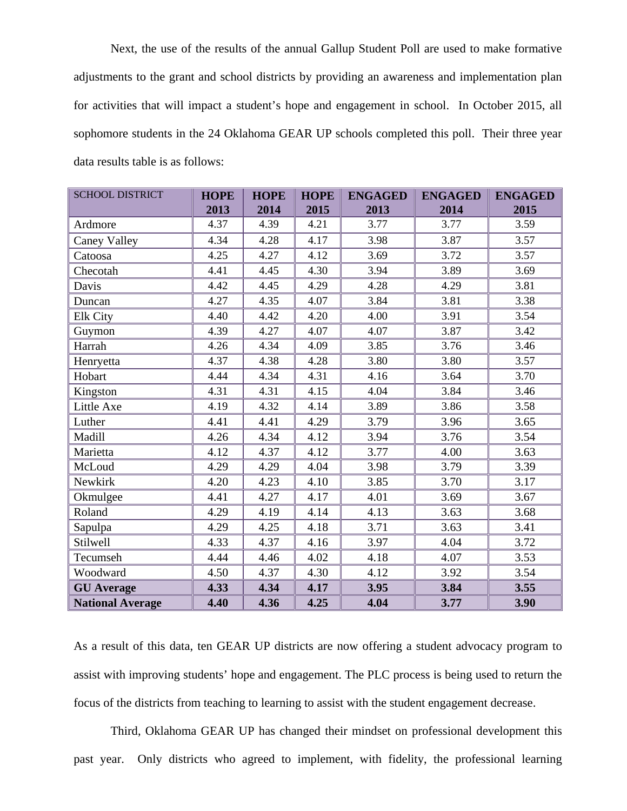Next, the use of the results of the annual Gallup Student Poll are used to make formative adjustments to the grant and school districts by providing an awareness and implementation plan for activities that will impact a student's hope and engagement in school. In October 2015, all sophomore students in the 24 Oklahoma GEAR UP schools completed this poll. Their three year data results table is as follows:

| <b>SCHOOL DISTRICT</b>  | <b>HOPE</b> | <b>HOPE</b> | <b>HOPE</b> | <b>ENGAGED</b> | <b>ENGAGED</b> | <b>ENGAGED</b> |
|-------------------------|-------------|-------------|-------------|----------------|----------------|----------------|
|                         | 2013        | 2014        | 2015        | 2013           | 2014           | 2015           |
| Ardmore                 | 4.37        | 4.39        | 4.21        | 3.77           | 3.77           | 3.59           |
| <b>Caney Valley</b>     | 4.34        | 4.28        | 4.17        | 3.98           | 3.87           | 3.57           |
| Catoosa                 | 4.25        | 4.27        | 4.12        | 3.69           | 3.72           | 3.57           |
| Checotah                | 4.41        | 4.45        | 4.30        | 3.94           | 3.89           | 3.69           |
| Davis                   | 4.42        | 4.45        | 4.29        | 4.28           | 4.29           | 3.81           |
| Duncan                  | 4.27        | 4.35        | 4.07        | 3.84           | 3.81           | 3.38           |
| Elk City                | 4.40        | 4.42        | 4.20        | 4.00           | 3.91           | 3.54           |
| Guymon                  | 4.39        | 4.27        | 4.07        | 4.07           | 3.87           | 3.42           |
| Harrah                  | 4.26        | 4.34        | 4.09        | 3.85           | 3.76           | 3.46           |
| Henryetta               | 4.37        | 4.38        | 4.28        | 3.80           | 3.80           | 3.57           |
| Hobart                  | 4.44        | 4.34        | 4.31        | 4.16           | 3.64           | 3.70           |
| Kingston                | 4.31        | 4.31        | 4.15        | 4.04           | 3.84           | 3.46           |
| Little Axe              | 4.19        | 4.32        | 4.14        | 3.89           | 3.86           | 3.58           |
| Luther                  | 4.41        | 4.41        | 4.29        | 3.79           | 3.96           | 3.65           |
| Madill                  | 4.26        | 4.34        | 4.12        | 3.94           | 3.76           | 3.54           |
| Marietta                | 4.12        | 4.37        | 4.12        | 3.77           | 4.00           | 3.63           |
| McLoud                  | 4.29        | 4.29        | 4.04        | 3.98           | 3.79           | 3.39           |
| Newkirk                 | 4.20        | 4.23        | 4.10        | 3.85           | 3.70           | 3.17           |
| Okmulgee                | 4.41        | 4.27        | 4.17        | 4.01           | 3.69           | 3.67           |
| Roland                  | 4.29        | 4.19        | 4.14        | 4.13           | 3.63           | 3.68           |
| Sapulpa                 | 4.29        | 4.25        | 4.18        | 3.71           | 3.63           | 3.41           |
| Stilwell                | 4.33        | 4.37        | 4.16        | 3.97           | 4.04           | 3.72           |
| Tecumseh                | 4.44        | 4.46        | 4.02        | 4.18           | 4.07           | 3.53           |
| Woodward                | 4.50        | 4.37        | 4.30        | 4.12           | 3.92           | 3.54           |
| <b>GU</b> Average       | 4.33        | 4.34        | 4.17        | 3.95           | 3.84           | 3.55           |
| <b>National Average</b> | 4.40        | 4.36        | 4.25        | 4.04           | 3.77           | 3.90           |

As a result of this data, ten GEAR UP districts are now offering a student advocacy program to assist with improving students' hope and engagement. The PLC process is being used to return the focus of the districts from teaching to learning to assist with the student engagement decrease.

Third, Oklahoma GEAR UP has changed their mindset on professional development this past year. Only districts who agreed to implement, with fidelity, the professional learning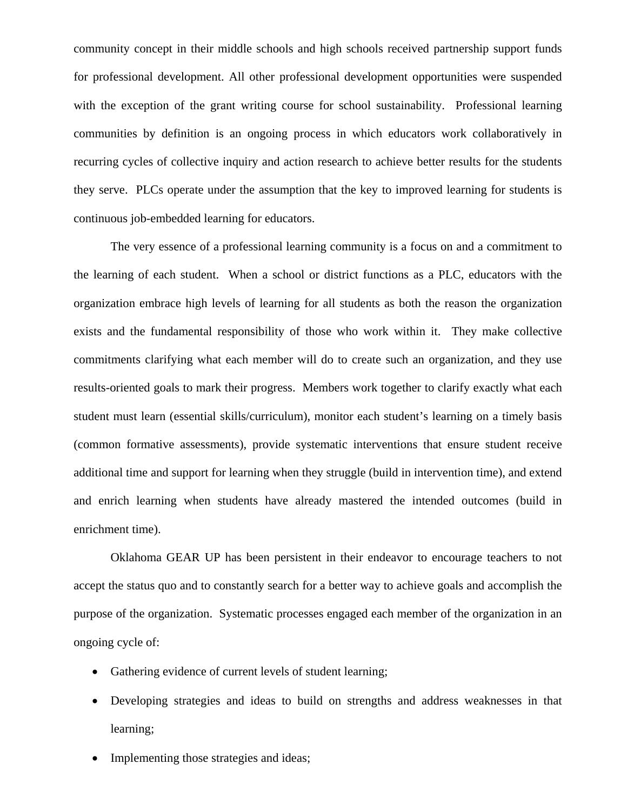community concept in their middle schools and high schools received partnership support funds for professional development. All other professional development opportunities were suspended with the exception of the grant writing course for school sustainability. Professional learning communities by definition is an ongoing process in which educators work collaboratively in recurring cycles of collective inquiry and action research to achieve better results for the students they serve. PLCs operate under the assumption that the key to improved learning for students is continuous job-embedded learning for educators.

 The very essence of a professional learning community is a focus on and a commitment to the learning of each student. When a school or district functions as a PLC, educators with the organization embrace high levels of learning for all students as both the reason the organization exists and the fundamental responsibility of those who work within it. They make collective commitments clarifying what each member will do to create such an organization, and they use results-oriented goals to mark their progress. Members work together to clarify exactly what each student must learn (essential skills/curriculum), monitor each student's learning on a timely basis (common formative assessments), provide systematic interventions that ensure student receive additional time and support for learning when they struggle (build in intervention time), and extend and enrich learning when students have already mastered the intended outcomes (build in enrichment time).

 Oklahoma GEAR UP has been persistent in their endeavor to encourage teachers to not accept the status quo and to constantly search for a better way to achieve goals and accomplish the purpose of the organization. Systematic processes engaged each member of the organization in an ongoing cycle of:

- Gathering evidence of current levels of student learning;
- Developing strategies and ideas to build on strengths and address weaknesses in that learning;
- Implementing those strategies and ideas;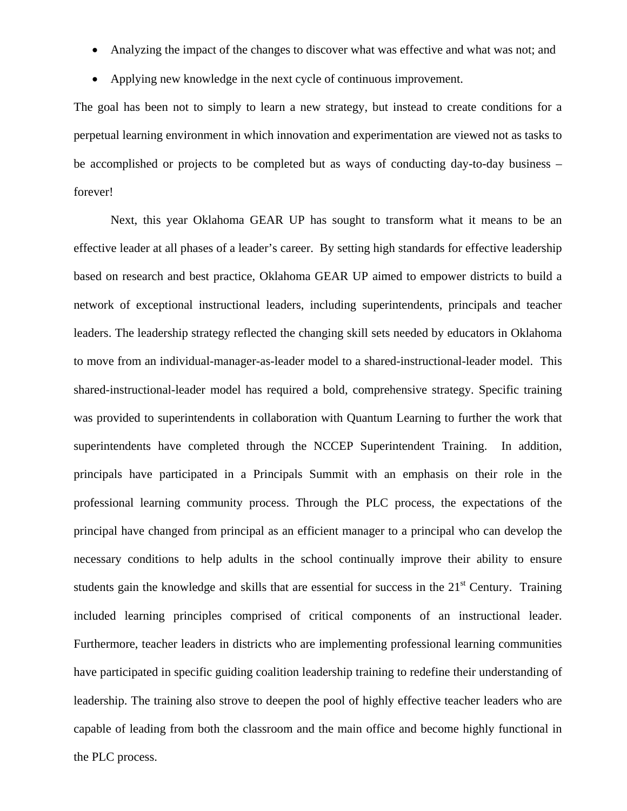- Analyzing the impact of the changes to discover what was effective and what was not; and
- Applying new knowledge in the next cycle of continuous improvement.

The goal has been not to simply to learn a new strategy, but instead to create conditions for a perpetual learning environment in which innovation and experimentation are viewed not as tasks to be accomplished or projects to be completed but as ways of conducting day-to-day business – forever!

Next, this year Oklahoma GEAR UP has sought to transform what it means to be an effective leader at all phases of a leader's career. By setting high standards for effective leadership based on research and best practice, Oklahoma GEAR UP aimed to empower districts to build a network of exceptional instructional leaders, including superintendents, principals and teacher leaders. The leadership strategy reflected the changing skill sets needed by educators in Oklahoma to move from an individual-manager-as-leader model to a shared-instructional-leader model. This shared-instructional-leader model has required a bold, comprehensive strategy. Specific training was provided to superintendents in collaboration with Quantum Learning to further the work that superintendents have completed through the NCCEP Superintendent Training. In addition, principals have participated in a Principals Summit with an emphasis on their role in the professional learning community process. Through the PLC process, the expectations of the principal have changed from principal as an efficient manager to a principal who can develop the necessary conditions to help adults in the school continually improve their ability to ensure students gain the knowledge and skills that are essential for success in the 21<sup>st</sup> Century. Training included learning principles comprised of critical components of an instructional leader. Furthermore, teacher leaders in districts who are implementing professional learning communities have participated in specific guiding coalition leadership training to redefine their understanding of leadership. The training also strove to deepen the pool of highly effective teacher leaders who are capable of leading from both the classroom and the main office and become highly functional in the PLC process.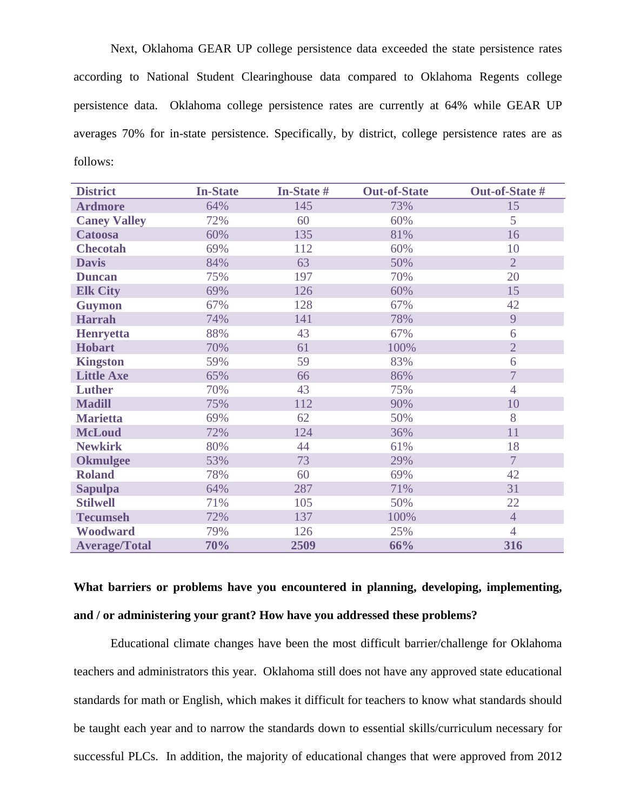Next, Oklahoma GEAR UP college persistence data exceeded the state persistence rates according to National Student Clearinghouse data compared to Oklahoma Regents college persistence data. Oklahoma college persistence rates are currently at 64% while GEAR UP averages 70% for in-state persistence. Specifically, by district, college persistence rates are as follows:

| <b>District</b>      | <b>In-State</b> | <b>In-State #</b> | <b>Out-of-State</b> | Out-of-State # |
|----------------------|-----------------|-------------------|---------------------|----------------|
| <b>Ardmore</b>       | 64%             | 145               | 73%                 | 15             |
| <b>Caney Valley</b>  | 72%             | 60                | 60%                 | 5              |
| <b>Catoosa</b>       | 60%             | 135               | 81%                 | 16             |
| <b>Checotah</b>      | 69%             | 112               | 60%                 | 10             |
| <b>Davis</b>         | 84%             | 63                | 50%                 | $\overline{2}$ |
| <b>Duncan</b>        | 75%             | 197               | 70%                 | 20             |
| <b>Elk City</b>      | 69%             | 126               | 60%                 | 15             |
| <b>Guymon</b>        | 67%             | 128               | 67%                 | 42             |
| <b>Harrah</b>        | 74%             | 141               | 78%                 | 9              |
| <b>Henryetta</b>     | 88%             | 43                | 67%                 | 6              |
| <b>Hobart</b>        | 70%             | 61                | 100%                | $\overline{2}$ |
| <b>Kingston</b>      | 59%             | 59                | 83%                 | 6              |
| <b>Little Axe</b>    | 65%             | 66                | 86%                 | $\overline{7}$ |
| <b>Luther</b>        | 70%             | 43                | 75%                 | $\overline{4}$ |
| <b>Madill</b>        | 75%             | 112               | 90%                 | 10             |
| <b>Marietta</b>      | 69%             | 62                | 50%                 | 8              |
| <b>McLoud</b>        | 72%             | 124               | 36%                 | 11             |
| <b>Newkirk</b>       | 80%             | 44                | 61%                 | 18             |
| <b>Okmulgee</b>      | 53%             | 73                | 29%                 | $\overline{7}$ |
| <b>Roland</b>        | 78%             | 60                | 69%                 | 42             |
| <b>Sapulpa</b>       | 64%             | 287               | 71%                 | 31             |
| <b>Stilwell</b>      | 71%             | 105               | 50%                 | 22             |
| <b>Tecumseh</b>      | 72%             | 137               | 100%                | $\overline{4}$ |
| Woodward             | 79%             | 126               | 25%                 | $\overline{4}$ |
| <b>Average/Total</b> | 70%             | 2509              | 66%                 | 316            |

**What barriers or problems have you encountered in planning, developing, implementing, and / or administering your grant? How have you addressed these problems?** 

Educational climate changes have been the most difficult barrier/challenge for Oklahoma teachers and administrators this year. Oklahoma still does not have any approved state educational standards for math or English, which makes it difficult for teachers to know what standards should be taught each year and to narrow the standards down to essential skills/curriculum necessary for successful PLCs. In addition, the majority of educational changes that were approved from 2012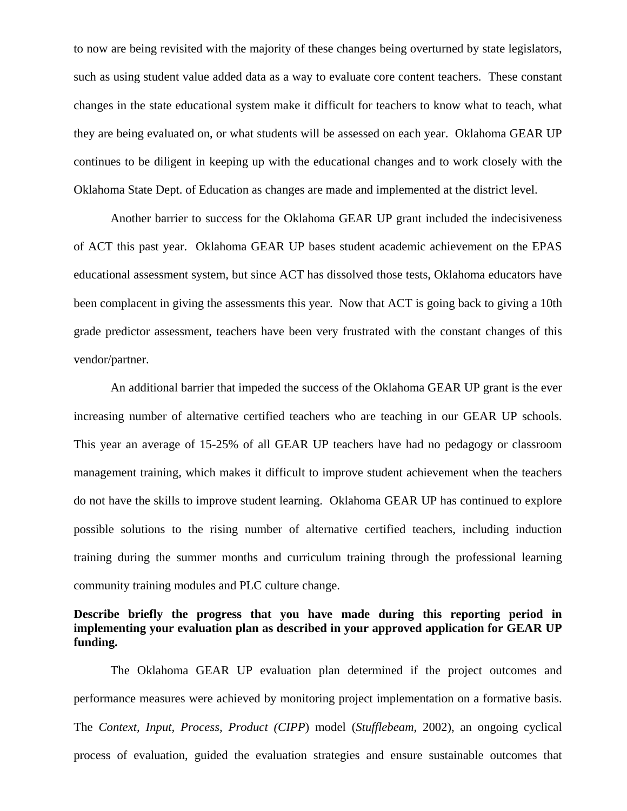to now are being revisited with the majority of these changes being overturned by state legislators, such as using student value added data as a way to evaluate core content teachers. These constant changes in the state educational system make it difficult for teachers to know what to teach, what they are being evaluated on, or what students will be assessed on each year. Oklahoma GEAR UP continues to be diligent in keeping up with the educational changes and to work closely with the Oklahoma State Dept. of Education as changes are made and implemented at the district level.

Another barrier to success for the Oklahoma GEAR UP grant included the indecisiveness of ACT this past year. Oklahoma GEAR UP bases student academic achievement on the EPAS educational assessment system, but since ACT has dissolved those tests, Oklahoma educators have been complacent in giving the assessments this year. Now that ACT is going back to giving a 10th grade predictor assessment, teachers have been very frustrated with the constant changes of this vendor/partner.

An additional barrier that impeded the success of the Oklahoma GEAR UP grant is the ever increasing number of alternative certified teachers who are teaching in our GEAR UP schools. This year an average of 15-25% of all GEAR UP teachers have had no pedagogy or classroom management training, which makes it difficult to improve student achievement when the teachers do not have the skills to improve student learning. Oklahoma GEAR UP has continued to explore possible solutions to the rising number of alternative certified teachers, including induction training during the summer months and curriculum training through the professional learning community training modules and PLC culture change.

# **Describe briefly the progress that you have made during this reporting period in implementing your evaluation plan as described in your approved application for GEAR UP funding.**

The Oklahoma GEAR UP evaluation plan determined if the project outcomes and performance measures were achieved by monitoring project implementation on a formative basis. The *Context, Input, Process, Product (CIPP*) model (*Stufflebeam*, 2002), an ongoing cyclical process of evaluation, guided the evaluation strategies and ensure sustainable outcomes that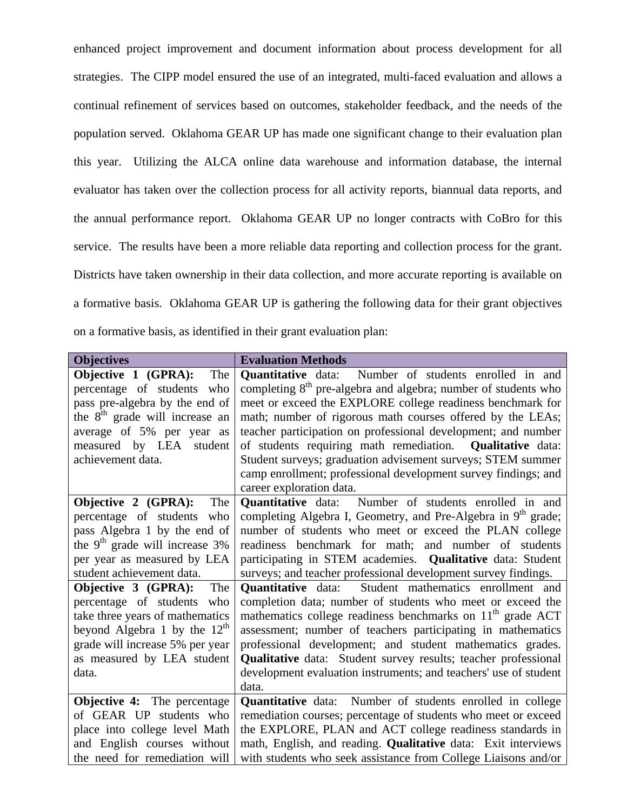enhanced project improvement and document information about process development for all strategies. The CIPP model ensured the use of an integrated, multi-faced evaluation and allows a continual refinement of services based on outcomes, stakeholder feedback, and the needs of the population served. Oklahoma GEAR UP has made one significant change to their evaluation plan this year. Utilizing the ALCA online data warehouse and information database, the internal evaluator has taken over the collection process for all activity reports, biannual data reports, and the annual performance report. Oklahoma GEAR UP no longer contracts with CoBro for this service. The results have been a more reliable data reporting and collection process for the grant. Districts have taken ownership in their data collection, and more accurate reporting is available on a formative basis. Oklahoma GEAR UP is gathering the following data for their grant objectives on a formative basis, as identified in their grant evaluation plan:

| <b>Objectives</b>                          | <b>Evaluation Methods</b>                                                  |
|--------------------------------------------|----------------------------------------------------------------------------|
| Objective 1 (GPRA):<br>The                 | <b>Quantitative</b> data: Number of students enrolled in and               |
| percentage of students who                 | completing 8 <sup>th</sup> pre-algebra and algebra; number of students who |
| pass pre-algebra by the end of             | meet or exceed the EXPLORE college readiness benchmark for                 |
| the 8 <sup>th</sup> grade will increase an | math; number of rigorous math courses offered by the LEAs;                 |
| average of 5% per year as                  | teacher participation on professional development; and number              |
| measured by LEA student                    | of students requiring math remediation. Qualitative data:                  |
| achievement data.                          | Student surveys; graduation advisement surveys; STEM summer                |
|                                            | camp enrollment; professional development survey findings; and             |
|                                            | career exploration data.                                                   |
| Objective 2 (GPRA):<br>The                 | <b>Quantitative</b> data: Number of students enrolled in and               |
| percentage of students who                 | completing Algebra I, Geometry, and Pre-Algebra in 9 <sup>th</sup> grade;  |
| pass Algebra 1 by the end of               | number of students who meet or exceed the PLAN college                     |
| the $9th$ grade will increase 3%           | readiness benchmark for math; and number of students                       |
| per year as measured by LEA                | participating in STEM academies. Qualitative data: Student                 |
| student achievement data.                  | surveys; and teacher professional development survey findings.             |
| Objective 3 (GPRA):<br>The                 | Quantitative data: Student mathematics enrollment and                      |
| percentage of students who                 | completion data; number of students who meet or exceed the                 |
| take three years of mathematics            | mathematics college readiness benchmarks on 11 <sup>th</sup> grade ACT     |
| beyond Algebra 1 by the $12th$             | assessment; number of teachers participating in mathematics                |
| grade will increase 5% per year            | professional development; and student mathematics grades.                  |
| as measured by LEA student                 | <b>Qualitative</b> data: Student survey results; teacher professional      |
| data.                                      | development evaluation instruments; and teachers' use of student           |
|                                            | data.                                                                      |
| <b>Objective 4:</b> The percentage         | Quantitative data: Number of students enrolled in college                  |
| of GEAR UP students who                    | remediation courses; percentage of students who meet or exceed             |
| place into college level Math              | the EXPLORE, PLAN and ACT college readiness standards in                   |
| and English courses without                | math, English, and reading. Qualitative data: Exit interviews              |
| the need for remediation will              | with students who seek assistance from College Liaisons and/or             |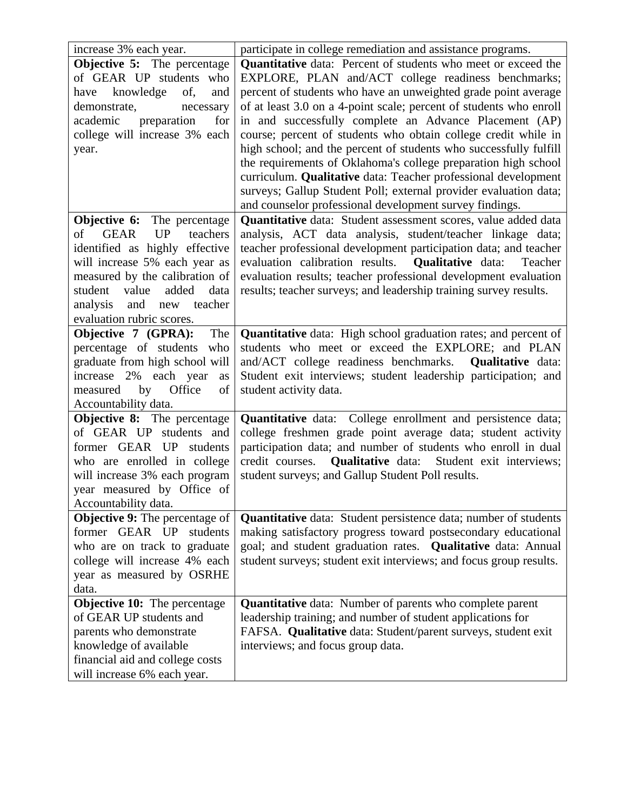| increase 3% each year.                     | participate in college remediation and assistance programs.             |
|--------------------------------------------|-------------------------------------------------------------------------|
| Objective 5: The percentage                | <b>Quantitative</b> data: Percent of students who meet or exceed the    |
| of GEAR UP students who                    | EXPLORE, PLAN and/ACT college readiness benchmarks;                     |
| knowledge<br>of,<br>and<br>have            | percent of students who have an unweighted grade point average          |
| demonstrate,<br>necessary                  | of at least 3.0 on a 4-point scale; percent of students who enroll      |
| preparation<br>for<br>academic             | in and successfully complete an Advance Placement (AP)                  |
| college will increase 3% each              | course; percent of students who obtain college credit while in          |
| year.                                      | high school; and the percent of students who successfully fulfill       |
|                                            | the requirements of Oklahoma's college preparation high school          |
|                                            | curriculum. Qualitative data: Teacher professional development          |
|                                            | surveys; Gallup Student Poll; external provider evaluation data;        |
|                                            | and counselor professional development survey findings.                 |
| Objective 6:<br>The percentage             | Quantitative data: Student assessment scores, value added data          |
| <b>GEAR</b><br><b>UP</b><br>teachers<br>of | analysis, ACT data analysis, student/teacher linkage data;              |
| identified as highly effective             | teacher professional development participation data; and teacher        |
| will increase 5% each year as              | evaluation calibration results.<br><b>Qualitative</b> data:<br>Teacher  |
| measured by the calibration of             | evaluation results; teacher professional development evaluation         |
| value<br>added<br>student<br>data          | results; teacher surveys; and leadership training survey results.       |
| and new teacher<br>analysis                |                                                                         |
| evaluation rubric scores.                  |                                                                         |
| Objective 7 (GPRA):<br>The                 | Quantitative data: High school graduation rates; and percent of         |
| percentage of students who                 | students who meet or exceed the EXPLORE; and PLAN                       |
| graduate from high school will             | and/ACT college readiness benchmarks.<br><b>Qualitative</b> data:       |
| increase 2% each year<br>as                | Student exit interviews; student leadership participation; and          |
| measured by Office<br>of                   | student activity data.                                                  |
| Accountability data.                       |                                                                         |
| <b>Objective 8:</b> The percentage         | <b>Quantitative</b> data: College enrollment and persistence data;      |
| of GEAR UP students and                    | college freshmen grade point average data; student activity             |
| former GEAR UP students                    | participation data; and number of students who enroll in dual           |
| who are enrolled in college                | credit courses.<br><b>Qualitative</b> data:<br>Student exit interviews; |
| will increase 3% each program              | student surveys; and Gallup Student Poll results.                       |
| year measured by Office of                 |                                                                         |
| Accountability data.                       |                                                                         |
| <b>Objective 9:</b> The percentage of      | <b>Quantitative</b> data: Student persistence data; number of students  |
| former GEAR UP<br>students                 | making satisfactory progress toward postsecondary educational           |
| who are on track to graduate               | goal; and student graduation rates. Qualitative data: Annual            |
| college will increase 4% each              | student surveys; student exit interviews; and focus group results.      |
| year as measured by OSRHE                  |                                                                         |
| data.                                      |                                                                         |
| <b>Objective 10:</b> The percentage        | <b>Quantitative</b> data: Number of parents who complete parent         |
| of GEAR UP students and                    | leadership training; and number of student applications for             |
| parents who demonstrate                    | FAFSA. Qualitative data: Student/parent surveys, student exit           |
| knowledge of available                     | interviews; and focus group data.                                       |
| financial aid and college costs            |                                                                         |
| will increase 6% each year.                |                                                                         |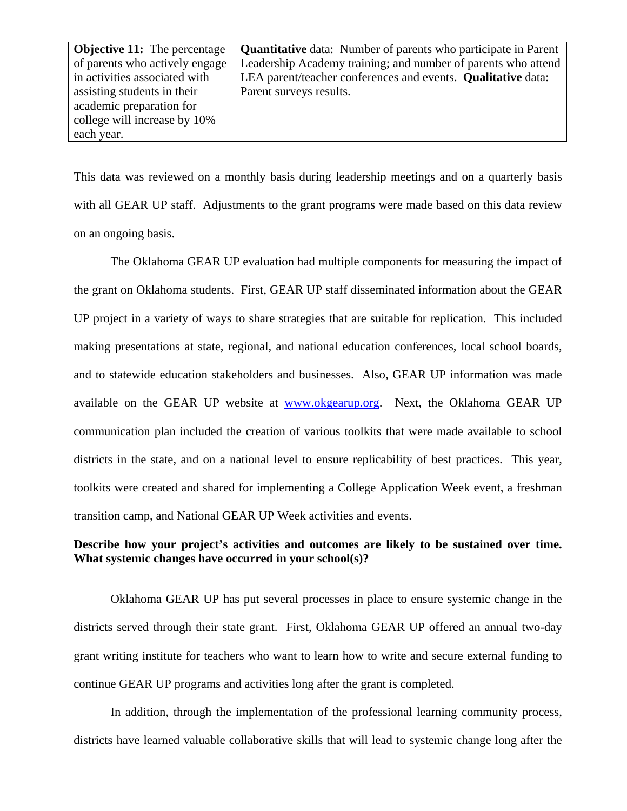| <b>Objective 11:</b> The percentage | <b>Quantitative</b> data: Number of parents who participate in Parent |
|-------------------------------------|-----------------------------------------------------------------------|
| of parents who actively engage      | Leadership Academy training; and number of parents who attend         |
| in activities associated with       | LEA parent/teacher conferences and events. Qualitative data:          |
| assisting students in their         | Parent surveys results.                                               |
| academic preparation for            |                                                                       |
| college will increase by 10%        |                                                                       |
| each year.                          |                                                                       |

This data was reviewed on a monthly basis during leadership meetings and on a quarterly basis with all GEAR UP staff. Adjustments to the grant programs were made based on this data review on an ongoing basis.

The Oklahoma GEAR UP evaluation had multiple components for measuring the impact of the grant on Oklahoma students. First, GEAR UP staff disseminated information about the GEAR UP project in a variety of ways to share strategies that are suitable for replication. This included making presentations at state, regional, and national education conferences, local school boards, and to statewide education stakeholders and businesses. Also, GEAR UP information was made available on the GEAR UP website at www.okgearup.org. Next, the Oklahoma GEAR UP communication plan included the creation of various toolkits that were made available to school districts in the state, and on a national level to ensure replicability of best practices. This year, toolkits were created and shared for implementing a College Application Week event, a freshman transition camp, and National GEAR UP Week activities and events.

# **Describe how your project's activities and outcomes are likely to be sustained over time. What systemic changes have occurred in your school(s)?**

Oklahoma GEAR UP has put several processes in place to ensure systemic change in the districts served through their state grant. First, Oklahoma GEAR UP offered an annual two-day grant writing institute for teachers who want to learn how to write and secure external funding to continue GEAR UP programs and activities long after the grant is completed.

In addition, through the implementation of the professional learning community process, districts have learned valuable collaborative skills that will lead to systemic change long after the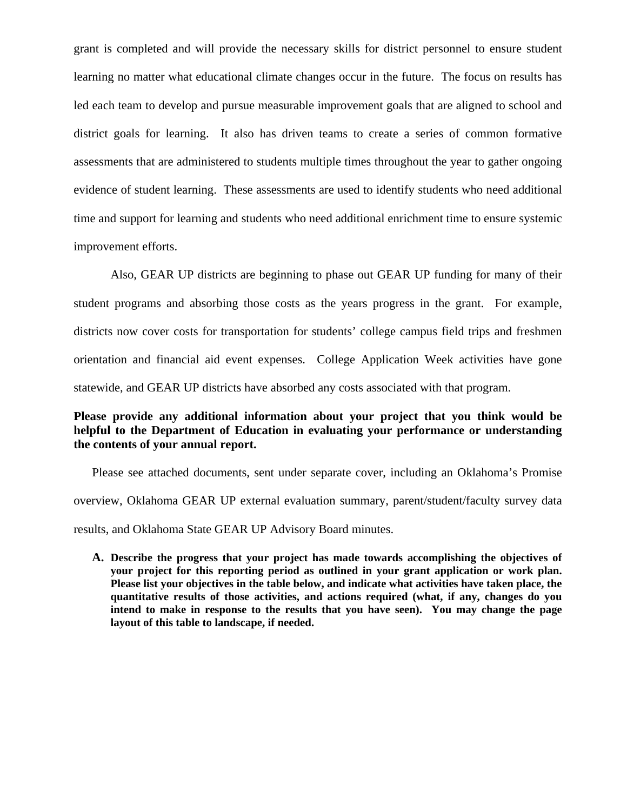grant is completed and will provide the necessary skills for district personnel to ensure student learning no matter what educational climate changes occur in the future. The focus on results has led each team to develop and pursue measurable improvement goals that are aligned to school and district goals for learning. It also has driven teams to create a series of common formative assessments that are administered to students multiple times throughout the year to gather ongoing evidence of student learning. These assessments are used to identify students who need additional time and support for learning and students who need additional enrichment time to ensure systemic improvement efforts.

Also, GEAR UP districts are beginning to phase out GEAR UP funding for many of their student programs and absorbing those costs as the years progress in the grant. For example, districts now cover costs for transportation for students' college campus field trips and freshmen orientation and financial aid event expenses. College Application Week activities have gone statewide, and GEAR UP districts have absorbed any costs associated with that program.

# **Please provide any additional information about your project that you think would be helpful to the Department of Education in evaluating your performance or understanding the contents of your annual report.**

Please see attached documents, sent under separate cover, including an Oklahoma's Promise overview, Oklahoma GEAR UP external evaluation summary, parent/student/faculty survey data results, and Oklahoma State GEAR UP Advisory Board minutes.

**A. Describe the progress that your project has made towards accomplishing the objectives of your project for this reporting period as outlined in your grant application or work plan. Please list your objectives in the table below, and indicate what activities have taken place, the quantitative results of those activities, and actions required (what, if any, changes do you intend to make in response to the results that you have seen). You may change the page layout of this table to landscape, if needed.**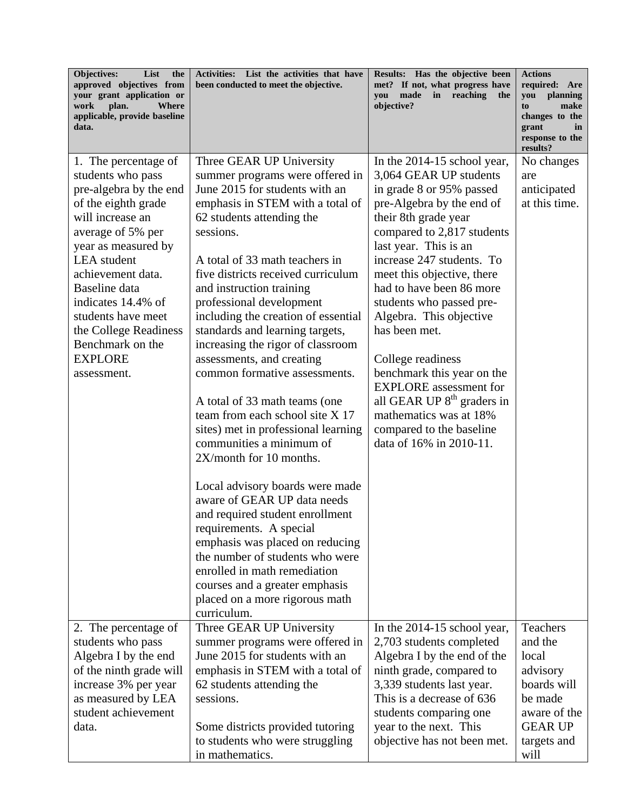| Objectives:<br>List<br>the<br>approved objectives from<br>your grant application or<br>Where<br>work<br>plan.<br>applicable, provide baseline<br>data.                                                                                                                                                                                           | Activities: List the activities that have<br>been conducted to meet the objective.                                                                                                                                                                                                                                                                                                                                                                                                                                                                                                                                                                                                                                                                                                                                                                                                                                                 | Results: Has the objective been<br>met? If not, what progress have<br>made in reaching<br>vou<br>the<br>objective?                                                                                                                                                                                                                                                                                                                                                                                                                                                            | <b>Actions</b><br>required: Are<br>you<br>planning<br>to<br>make<br>changes to the<br>grant<br>in<br>response to the               |
|--------------------------------------------------------------------------------------------------------------------------------------------------------------------------------------------------------------------------------------------------------------------------------------------------------------------------------------------------|------------------------------------------------------------------------------------------------------------------------------------------------------------------------------------------------------------------------------------------------------------------------------------------------------------------------------------------------------------------------------------------------------------------------------------------------------------------------------------------------------------------------------------------------------------------------------------------------------------------------------------------------------------------------------------------------------------------------------------------------------------------------------------------------------------------------------------------------------------------------------------------------------------------------------------|-------------------------------------------------------------------------------------------------------------------------------------------------------------------------------------------------------------------------------------------------------------------------------------------------------------------------------------------------------------------------------------------------------------------------------------------------------------------------------------------------------------------------------------------------------------------------------|------------------------------------------------------------------------------------------------------------------------------------|
| 1. The percentage of<br>students who pass<br>pre-algebra by the end<br>of the eighth grade<br>will increase an<br>average of 5% per<br>year as measured by<br><b>LEA</b> student<br>achievement data.<br>Baseline data<br>indicates 14.4% of<br>students have meet<br>the College Readiness<br>Benchmark on the<br><b>EXPLORE</b><br>assessment. | Three GEAR UP University<br>summer programs were offered in<br>June 2015 for students with an<br>emphasis in STEM with a total of<br>62 students attending the<br>sessions.<br>A total of 33 math teachers in<br>five districts received curriculum<br>and instruction training<br>professional development<br>including the creation of essential<br>standards and learning targets,<br>increasing the rigor of classroom<br>assessments, and creating<br>common formative assessments.<br>A total of 33 math teams (one<br>team from each school site X 17<br>sites) met in professional learning<br>communities a minimum of<br>2X/month for 10 months.<br>Local advisory boards were made<br>aware of GEAR UP data needs<br>and required student enrollment<br>requirements. A special<br>emphasis was placed on reducing<br>the number of students who were<br>enrolled in math remediation<br>courses and a greater emphasis | In the $2014-15$ school year,<br>3,064 GEAR UP students<br>in grade 8 or 95% passed<br>pre-Algebra by the end of<br>their 8th grade year<br>compared to 2,817 students<br>last year. This is an<br>increase 247 students. To<br>meet this objective, there<br>had to have been 86 more<br>students who passed pre-<br>Algebra. This objective<br>has been met.<br>College readiness<br>benchmark this year on the<br><b>EXPLORE</b> assessment for<br>all GEAR UP 8 <sup>th</sup> graders in<br>mathematics was at 18%<br>compared to the baseline<br>data of 16% in 2010-11. | results?<br>No changes<br>are<br>anticipated<br>at this time.                                                                      |
|                                                                                                                                                                                                                                                                                                                                                  | placed on a more rigorous math<br>curriculum.                                                                                                                                                                                                                                                                                                                                                                                                                                                                                                                                                                                                                                                                                                                                                                                                                                                                                      |                                                                                                                                                                                                                                                                                                                                                                                                                                                                                                                                                                               |                                                                                                                                    |
| 2. The percentage of<br>students who pass<br>Algebra I by the end<br>of the ninth grade will<br>increase 3% per year<br>as measured by LEA<br>student achievement<br>data.                                                                                                                                                                       | Three GEAR UP University<br>summer programs were offered in<br>June 2015 for students with an<br>emphasis in STEM with a total of<br>62 students attending the<br>sessions.<br>Some districts provided tutoring<br>to students who were struggling<br>in mathematics.                                                                                                                                                                                                                                                                                                                                                                                                                                                                                                                                                                                                                                                              | In the 2014-15 school year,<br>2,703 students completed<br>Algebra I by the end of the<br>ninth grade, compared to<br>3,339 students last year.<br>This is a decrease of 636<br>students comparing one<br>year to the next. This<br>objective has not been met.                                                                                                                                                                                                                                                                                                               | <b>Teachers</b><br>and the<br>local<br>advisory<br>boards will<br>be made<br>aware of the<br><b>GEAR UP</b><br>targets and<br>will |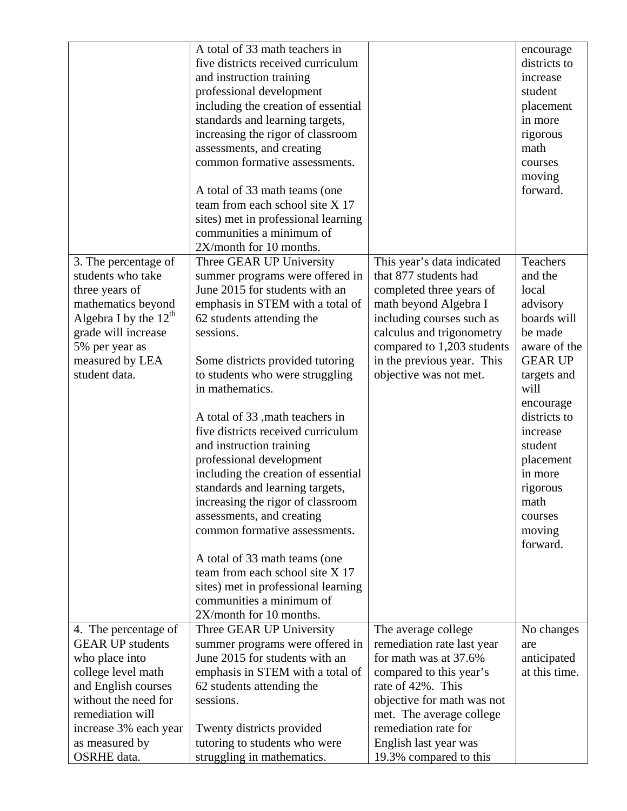|                         | A total of 33 math teachers in                                   |                            | encourage          |
|-------------------------|------------------------------------------------------------------|----------------------------|--------------------|
|                         | five districts received curriculum                               |                            | districts to       |
|                         | and instruction training                                         |                            | increase           |
|                         | professional development                                         |                            | student            |
|                         | including the creation of essential                              |                            | placement          |
|                         | standards and learning targets,                                  |                            | in more            |
|                         | increasing the rigor of classroom                                |                            | rigorous           |
|                         | assessments, and creating                                        |                            | math               |
|                         | common formative assessments.                                    |                            | courses            |
|                         |                                                                  |                            | moving             |
|                         | A total of 33 math teams (one                                    |                            | forward.           |
|                         | team from each school site X 17                                  |                            |                    |
|                         | sites) met in professional learning                              |                            |                    |
|                         | communities a minimum of                                         |                            |                    |
|                         | 2X/month for 10 months.                                          |                            |                    |
| 3. The percentage of    | Three GEAR UP University                                         | This year's data indicated | Teachers           |
| students who take       | summer programs were offered in                                  | that 877 students had      | and the            |
| three years of          | June 2015 for students with an                                   | completed three years of   | local              |
| mathematics beyond      | emphasis in STEM with a total of                                 | math beyond Algebra I      | advisory           |
| Algebra I by the $12th$ | 62 students attending the                                        | including courses such as  | boards will        |
| grade will increase     | sessions.                                                        | calculus and trigonometry  | be made            |
| 5% per year as          |                                                                  | compared to 1,203 students | aware of the       |
| measured by LEA         | Some districts provided tutoring                                 | in the previous year. This | <b>GEAR UP</b>     |
| student data.           | to students who were struggling                                  | objective was not met.     | targets and        |
|                         | in mathematics.                                                  |                            | will               |
|                         |                                                                  |                            | encourage          |
|                         | A total of 33, math teachers in                                  |                            | districts to       |
|                         | five districts received curriculum                               |                            | increase           |
|                         | and instruction training                                         |                            | student            |
|                         | professional development                                         |                            | placement          |
|                         | including the creation of essential                              |                            | in more            |
|                         | standards and learning targets,                                  |                            | rigorous           |
|                         | increasing the rigor of classroom                                |                            | math               |
|                         | assessments, and creating                                        |                            | courses            |
|                         | common formative assessments.                                    |                            |                    |
|                         |                                                                  |                            | moving<br>forward. |
|                         |                                                                  |                            |                    |
|                         | A total of 33 math teams (one<br>team from each school site X 17 |                            |                    |
|                         |                                                                  |                            |                    |
|                         | sites) met in professional learning<br>communities a minimum of  |                            |                    |
|                         |                                                                  |                            |                    |
|                         | 2X/month for 10 months.                                          |                            |                    |
| 4. The percentage of    | Three GEAR UP University                                         | The average college        | No changes         |
| <b>GEAR UP students</b> | summer programs were offered in                                  | remediation rate last year | are                |
| who place into          | June 2015 for students with an                                   | for math was at 37.6%      | anticipated        |
| college level math      | emphasis in STEM with a total of                                 | compared to this year's    | at this time.      |
| and English courses     | 62 students attending the                                        | rate of 42%. This          |                    |
| without the need for    | sessions.                                                        | objective for math was not |                    |
| remediation will        |                                                                  | met. The average college   |                    |
| increase 3% each year   | Twenty districts provided                                        | remediation rate for       |                    |
| as measured by          | tutoring to students who were                                    | English last year was      |                    |
| <b>OSRHE</b> data.      | struggling in mathematics.                                       | 19.3% compared to this     |                    |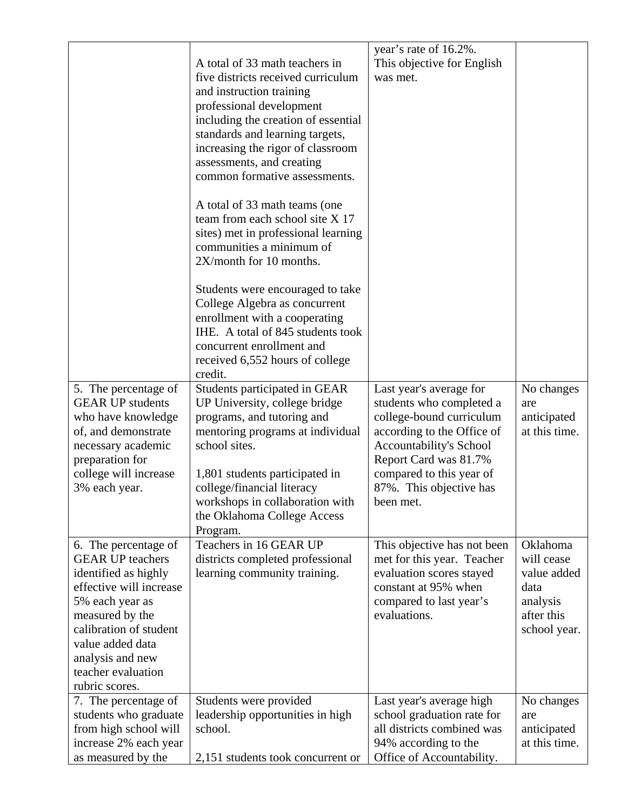|                                                 | A total of 33 math teachers in<br>five districts received curriculum<br>and instruction training<br>professional development<br>including the creation of essential<br>standards and learning targets,<br>increasing the rigor of classroom<br>assessments, and creating<br>common formative assessments.<br>A total of 33 math teams (one)<br>team from each school site X 17<br>sites) met in professional learning<br>communities a minimum of<br>2X/month for 10 months.<br>Students were encouraged to take<br>College Algebra as concurrent<br>enrollment with a cooperating<br>IHE. A total of 845 students took<br>concurrent enrollment and<br>received 6,552 hours of college<br>credit. | year's rate of 16.2%.<br>This objective for English<br>was met. |                        |
|-------------------------------------------------|----------------------------------------------------------------------------------------------------------------------------------------------------------------------------------------------------------------------------------------------------------------------------------------------------------------------------------------------------------------------------------------------------------------------------------------------------------------------------------------------------------------------------------------------------------------------------------------------------------------------------------------------------------------------------------------------------|-----------------------------------------------------------------|------------------------|
| 5. The percentage of<br><b>GEAR UP students</b> | Students participated in GEAR                                                                                                                                                                                                                                                                                                                                                                                                                                                                                                                                                                                                                                                                      | Last year's average for                                         | No changes             |
| who have knowledge                              | UP University, college bridge<br>programs, and tutoring and                                                                                                                                                                                                                                                                                                                                                                                                                                                                                                                                                                                                                                        | students who completed a<br>college-bound curriculum            | are<br>anticipated     |
| of, and demonstrate                             | mentoring programs at individual                                                                                                                                                                                                                                                                                                                                                                                                                                                                                                                                                                                                                                                                   | according to the Office of                                      | at this time.          |
| necessary academic                              | school sites.                                                                                                                                                                                                                                                                                                                                                                                                                                                                                                                                                                                                                                                                                      | <b>Accountability's School</b>                                  |                        |
| preparation for<br>college will increase        |                                                                                                                                                                                                                                                                                                                                                                                                                                                                                                                                                                                                                                                                                                    | Report Card was 81.7%<br>compared to this year of               |                        |
| 3% each year.                                   | 1,801 students participated in<br>college/financial literacy                                                                                                                                                                                                                                                                                                                                                                                                                                                                                                                                                                                                                                       | 87%. This objective has                                         |                        |
|                                                 | workshops in collaboration with                                                                                                                                                                                                                                                                                                                                                                                                                                                                                                                                                                                                                                                                    | been met.                                                       |                        |
|                                                 | the Oklahoma College Access                                                                                                                                                                                                                                                                                                                                                                                                                                                                                                                                                                                                                                                                        |                                                                 |                        |
|                                                 | Program.                                                                                                                                                                                                                                                                                                                                                                                                                                                                                                                                                                                                                                                                                           |                                                                 |                        |
| 6. The percentage of<br><b>GEAR UP teachers</b> | Teachers in 16 GEAR UP<br>districts completed professional                                                                                                                                                                                                                                                                                                                                                                                                                                                                                                                                                                                                                                         | This objective has not been<br>met for this year. Teacher       | Oklahoma<br>will cease |
| identified as highly                            | learning community training.                                                                                                                                                                                                                                                                                                                                                                                                                                                                                                                                                                                                                                                                       | evaluation scores stayed                                        | value added            |
| effective will increase                         |                                                                                                                                                                                                                                                                                                                                                                                                                                                                                                                                                                                                                                                                                                    | constant at 95% when                                            | data                   |
| 5% each year as                                 |                                                                                                                                                                                                                                                                                                                                                                                                                                                                                                                                                                                                                                                                                                    | compared to last year's                                         | analysis               |
| measured by the                                 |                                                                                                                                                                                                                                                                                                                                                                                                                                                                                                                                                                                                                                                                                                    | evaluations.                                                    | after this             |
| calibration of student                          |                                                                                                                                                                                                                                                                                                                                                                                                                                                                                                                                                                                                                                                                                                    |                                                                 | school year.           |
| value added data                                |                                                                                                                                                                                                                                                                                                                                                                                                                                                                                                                                                                                                                                                                                                    |                                                                 |                        |
| analysis and new<br>teacher evaluation          |                                                                                                                                                                                                                                                                                                                                                                                                                                                                                                                                                                                                                                                                                                    |                                                                 |                        |
| rubric scores.                                  |                                                                                                                                                                                                                                                                                                                                                                                                                                                                                                                                                                                                                                                                                                    |                                                                 |                        |
| 7. The percentage of                            | Students were provided                                                                                                                                                                                                                                                                                                                                                                                                                                                                                                                                                                                                                                                                             | Last year's average high                                        | No changes             |
| students who graduate                           | leadership opportunities in high                                                                                                                                                                                                                                                                                                                                                                                                                                                                                                                                                                                                                                                                   | school graduation rate for                                      | are                    |
| from high school will                           | school.                                                                                                                                                                                                                                                                                                                                                                                                                                                                                                                                                                                                                                                                                            | all districts combined was                                      | anticipated            |
| increase 2% each year                           |                                                                                                                                                                                                                                                                                                                                                                                                                                                                                                                                                                                                                                                                                                    | 94% according to the                                            | at this time.          |
| as measured by the                              | 2,151 students took concurrent or                                                                                                                                                                                                                                                                                                                                                                                                                                                                                                                                                                                                                                                                  | Office of Accountability.                                       |                        |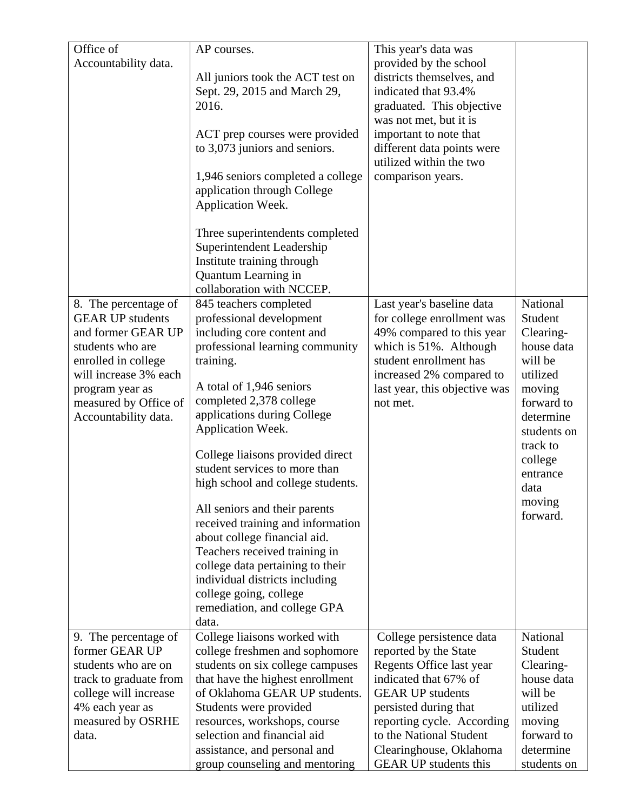| Office of                                     | AP courses.                                                 | This year's data was                                  |                      |
|-----------------------------------------------|-------------------------------------------------------------|-------------------------------------------------------|----------------------|
| Accountability data.                          |                                                             | provided by the school                                |                      |
|                                               | All juniors took the ACT test on                            | districts themselves, and                             |                      |
|                                               | Sept. 29, 2015 and March 29,                                | indicated that 93.4%                                  |                      |
|                                               | 2016.                                                       | graduated. This objective                             |                      |
|                                               |                                                             | was not met, but it is                                |                      |
|                                               | ACT prep courses were provided                              | important to note that                                |                      |
|                                               | to 3,073 juniors and seniors.                               | different data points were                            |                      |
|                                               |                                                             | utilized within the two                               |                      |
|                                               | 1,946 seniors completed a college                           | comparison years.                                     |                      |
|                                               | application through College                                 |                                                       |                      |
|                                               | Application Week.                                           |                                                       |                      |
|                                               | Three superintendents completed                             |                                                       |                      |
|                                               | Superintendent Leadership                                   |                                                       |                      |
|                                               | Institute training through                                  |                                                       |                      |
|                                               | Quantum Learning in                                         |                                                       |                      |
|                                               | collaboration with NCCEP.                                   |                                                       |                      |
| 8. The percentage of                          | 845 teachers completed                                      | Last year's baseline data                             | National             |
| <b>GEAR UP students</b>                       | professional development                                    | for college enrollment was                            | Student              |
| and former GEAR UP                            | including core content and                                  | 49% compared to this year                             | Clearing-            |
| students who are                              | professional learning community                             | which is 51%. Although                                | house data           |
| enrolled in college                           | training.                                                   | student enrollment has                                | will be              |
| will increase 3% each                         | A total of 1,946 seniors                                    | increased 2% compared to                              | utilized             |
| program year as                               | completed 2,378 college                                     | last year, this objective was<br>not met.             | moving<br>forward to |
| measured by Office of<br>Accountability data. | applications during College                                 |                                                       | determine            |
|                                               | Application Week.                                           |                                                       | students on          |
|                                               |                                                             |                                                       | track to             |
|                                               | College liaisons provided direct                            |                                                       | college              |
|                                               | student services to more than                               |                                                       | entrance             |
|                                               | high school and college students.                           |                                                       | data                 |
|                                               | All seniors and their parents                               |                                                       | moving               |
|                                               | received training and information                           |                                                       | forward.             |
|                                               | about college financial aid.                                |                                                       |                      |
|                                               | Teachers received training in                               |                                                       |                      |
|                                               | college data pertaining to their                            |                                                       |                      |
|                                               | individual districts including                              |                                                       |                      |
|                                               | college going, college                                      |                                                       |                      |
|                                               | remediation, and college GPA                                |                                                       |                      |
|                                               | data.                                                       |                                                       |                      |
| 9. The percentage of                          | College liaisons worked with                                | College persistence data                              | National             |
| former GEAR UP                                | college freshmen and sophomore                              | reported by the State                                 | Student              |
| students who are on                           | students on six college campuses                            | Regents Office last year                              | Clearing-            |
| track to graduate from                        | that have the highest enrollment                            | indicated that 67% of                                 | house data           |
| college will increase                         | of Oklahoma GEAR UP students.                               | <b>GEAR UP students</b>                               | will be              |
| 4% each year as                               | Students were provided                                      | persisted during that                                 | utilized             |
| measured by OSRHE<br>data.                    | resources, workshops, course<br>selection and financial aid | reporting cycle. According<br>to the National Student | moving<br>forward to |
|                                               | assistance, and personal and                                | Clearinghouse, Oklahoma                               | determine            |
|                                               | group counseling and mentoring                              | <b>GEAR UP students this</b>                          | students on          |